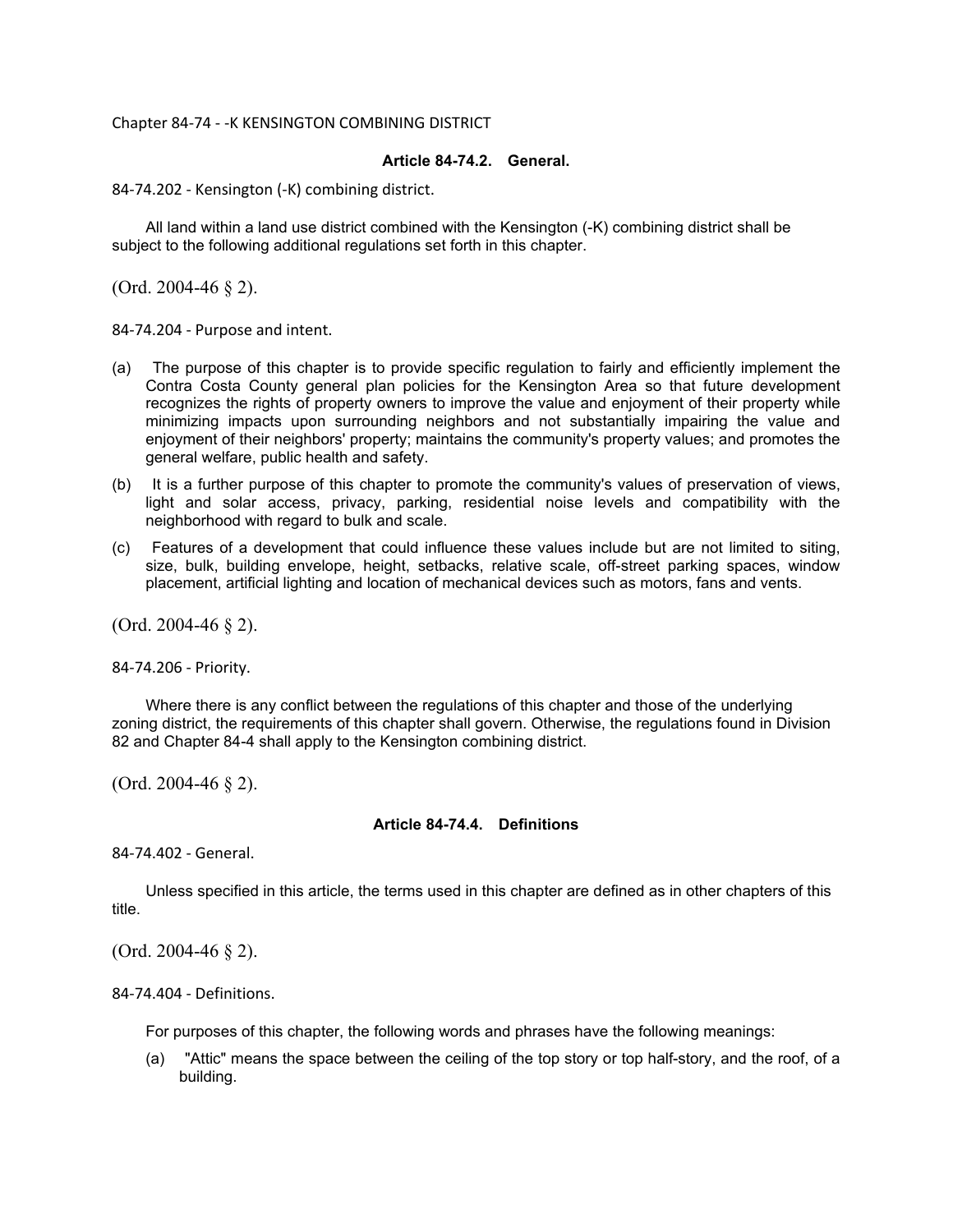#### Chapter 84-74 - -K KENSINGTON COMBINING DISTRICT

#### **Article 84-74.2. General.**

84-74.202 - Kensington (-K) combining district.

All land within a land use district combined with the Kensington (-K) combining district shall be subject to the following additional regulations set forth in this chapter.

(Ord. 2004-46  $\S$  2).

84-74.204 - Purpose and intent.

- (a) The purpose of this chapter is to provide specific regulation to fairly and efficiently implement the Contra Costa County general plan policies for the Kensington Area so that future development recognizes the rights of property owners to improve the value and enjoyment of their property while minimizing impacts upon surrounding neighbors and not substantially impairing the value and enjoyment of their neighbors' property; maintains the community's property values; and promotes the general welfare, public health and safety.
- (b) It is a further purpose of this chapter to promote the community's values of preservation of views, light and solar access, privacy, parking, residential noise levels and compatibility with the neighborhood with regard to bulk and scale.
- (c) Features of a development that could influence these values include but are not limited to siting, size, bulk, building envelope, height, setbacks, relative scale, off-street parking spaces, window placement, artificial lighting and location of mechanical devices such as motors, fans and vents.

(Ord. 2004-46 § 2).

84-74.206 - Priority.

Where there is any conflict between the regulations of this chapter and those of the underlying zoning district, the requirements of this chapter shall govern. Otherwise, the regulations found in Division 82 and Chapter 84-4 shall apply to the Kensington combining district.

(Ord. 2004-46 § 2).

#### **Article 84-74.4. Definitions**

84-74.402 - General.

Unless specified in this article, the terms used in this chapter are defined as in other chapters of this title.

(Ord. 2004-46 § 2).

84-74.404 - Definitions.

For purposes of this chapter, the following words and phrases have the following meanings:

(a) "Attic" means the space between the ceiling of the top story or top half-story, and the roof, of a building.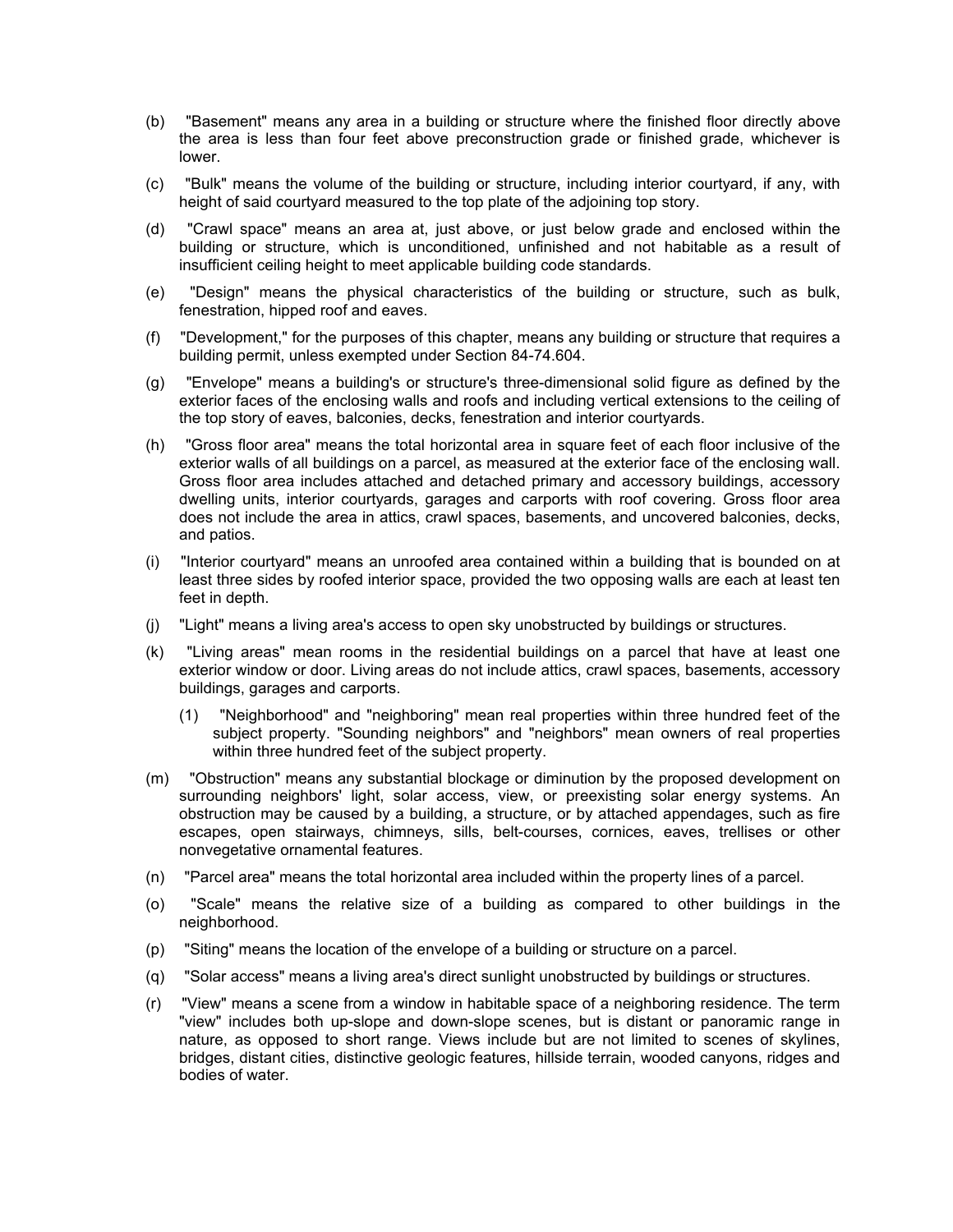- (b) "Basement" means any area in a building or structure where the finished floor directly above the area is less than four feet above preconstruction grade or finished grade, whichever is lower.
- (c) "Bulk" means the volume of the building or structure, including interior courtyard, if any, with height of said courtyard measured to the top plate of the adjoining top story.
- (d) "Crawl space" means an area at, just above, or just below grade and enclosed within the building or structure, which is unconditioned, unfinished and not habitable as a result of insufficient ceiling height to meet applicable building code standards.
- (e) "Design" means the physical characteristics of the building or structure, such as bulk, fenestration, hipped roof and eaves.
- (f) "Development," for the purposes of this chapter, means any building or structure that requires a building permit, unless exempted under Section 84-74.604.
- (g) "Envelope" means a building's or structure's three-dimensional solid figure as defined by the exterior faces of the enclosing walls and roofs and including vertical extensions to the ceiling of the top story of eaves, balconies, decks, fenestration and interior courtyards.
- (h) "Gross floor area" means the total horizontal area in square feet of each floor inclusive of the exterior walls of all buildings on a parcel, as measured at the exterior face of the enclosing wall. Gross floor area includes attached and detached primary and accessory buildings, accessory dwelling units, interior courtyards, garages and carports with roof covering. Gross floor area does not include the area in attics, crawl spaces, basements, and uncovered balconies, decks, and patios.
- (i) "Interior courtyard" means an unroofed area contained within a building that is bounded on at least three sides by roofed interior space, provided the two opposing walls are each at least ten feet in depth.
- (j) "Light" means a living area's access to open sky unobstructed by buildings or structures.
- (k) "Living areas" mean rooms in the residential buildings on a parcel that have at least one exterior window or door. Living areas do not include attics, crawl spaces, basements, accessory buildings, garages and carports.
	- (1) "Neighborhood" and "neighboring" mean real properties within three hundred feet of the subject property. "Sounding neighbors" and "neighbors" mean owners of real properties within three hundred feet of the subject property.
- (m) "Obstruction" means any substantial blockage or diminution by the proposed development on surrounding neighbors' light, solar access, view, or preexisting solar energy systems. An obstruction may be caused by a building, a structure, or by attached appendages, such as fire escapes, open stairways, chimneys, sills, belt-courses, cornices, eaves, trellises or other nonvegetative ornamental features.
- (n) "Parcel area" means the total horizontal area included within the property lines of a parcel.
- (o) "Scale" means the relative size of a building as compared to other buildings in the neighborhood.
- (p) "Siting" means the location of the envelope of a building or structure on a parcel.
- (q) "Solar access" means a living area's direct sunlight unobstructed by buildings or structures.
- (r) "View" means a scene from a window in habitable space of a neighboring residence. The term "view" includes both up-slope and down-slope scenes, but is distant or panoramic range in nature, as opposed to short range. Views include but are not limited to scenes of skylines, bridges, distant cities, distinctive geologic features, hillside terrain, wooded canyons, ridges and bodies of water.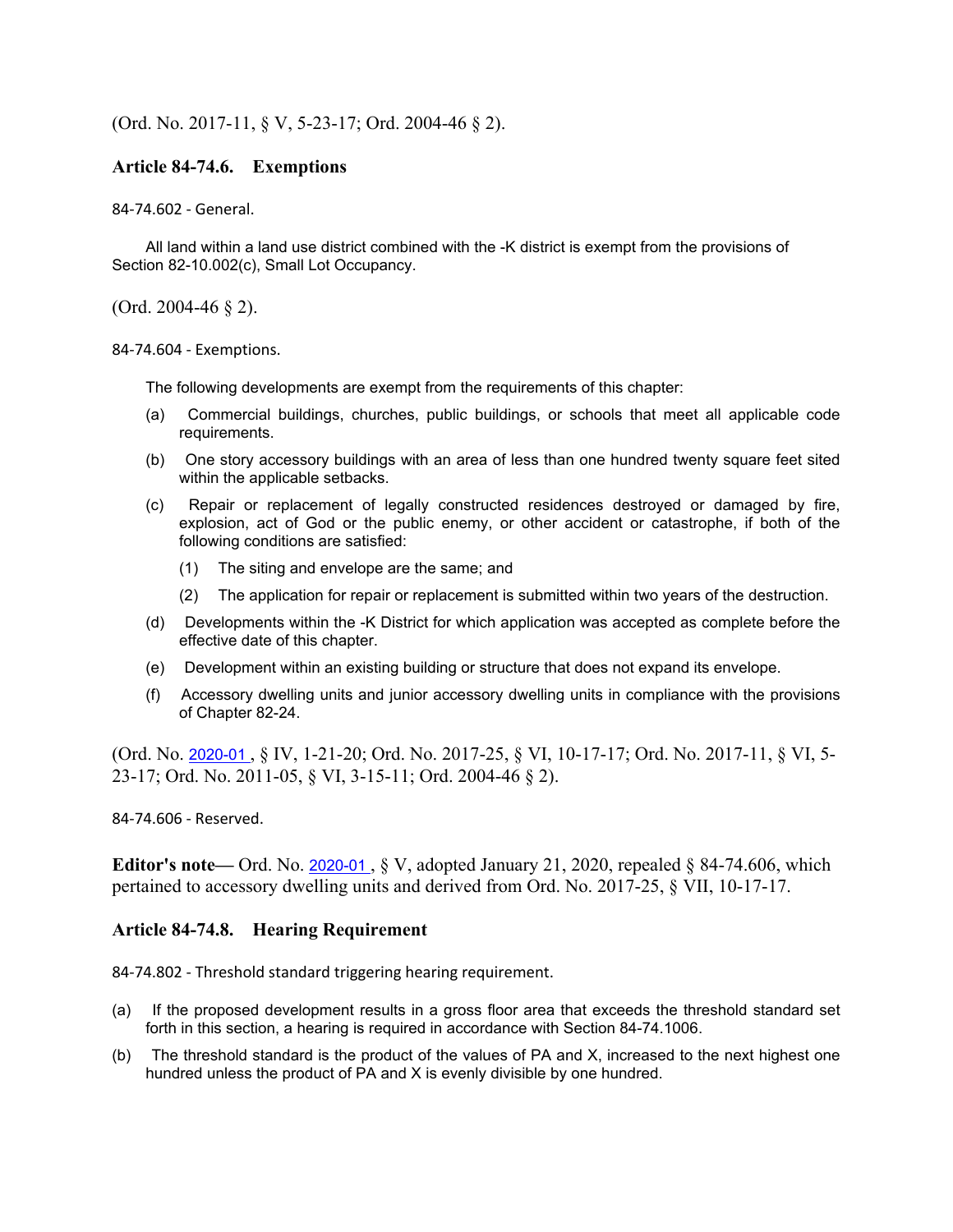## (Ord. No. 2017-11, § V, 5-23-17; Ord. 2004-46 § 2).

### **Article 84-74.6. Exemptions**

84-74.602 - General.

All land within a land use district combined with the -K district is exempt from the provisions of Section 82-10.002(c), Small Lot Occupancy.

(Ord. 2004-46 § 2).

84-74.604 - Exemptions.

The following developments are exempt from the requirements of this chapter:

- (a) Commercial buildings, churches, public buildings, or schools that meet all applicable code requirements.
- (b) One story accessory buildings with an area of less than one hundred twenty square feet sited within the applicable setbacks.
- (c) Repair or replacement of legally constructed residences destroyed or damaged by fire, explosion, act of God or the public enemy, or other accident or catastrophe, if both of the following conditions are satisfied:
	- (1) The siting and envelope are the same; and
	- (2) The application for repair or replacement is submitted within two years of the destruction.
- (d) Developments within the -K District for which application was accepted as complete before the effective date of this chapter.
- (e) Development within an existing building or structure that does not expand its envelope.
- (f) Accessory dwelling units and junior accessory dwelling units in compliance with the provisions of Chapter 82-24.

(Ord. No. 2020-01 , § IV, 1-21-20; Ord. No. 2017-25, § VI, 10-17-17; Ord. No. 2017-11, § VI, 5- 23-17; Ord. No. 2011-05, § VI, 3-15-11; Ord. 2004-46 § 2).

84-74.606 - Reserved.

**Editor's note—** Ord. No. 2020-01, § V, adopted January 21, 2020, repealed § 84-74.606, which pertained to accessory dwelling units and derived from Ord. No. 2017-25, § VII, 10-17-17.

### **Article 84-74.8. Hearing Requirement**

84-74.802 - Threshold standard triggering hearing requirement.

- (a) If the proposed development results in a gross floor area that exceeds the threshold standard set forth in this section, a hearing is required in accordance with Section 84-74.1006.
- (b) The threshold standard is the product of the values of PA and X, increased to the next highest one hundred unless the product of PA and X is evenly divisible by one hundred.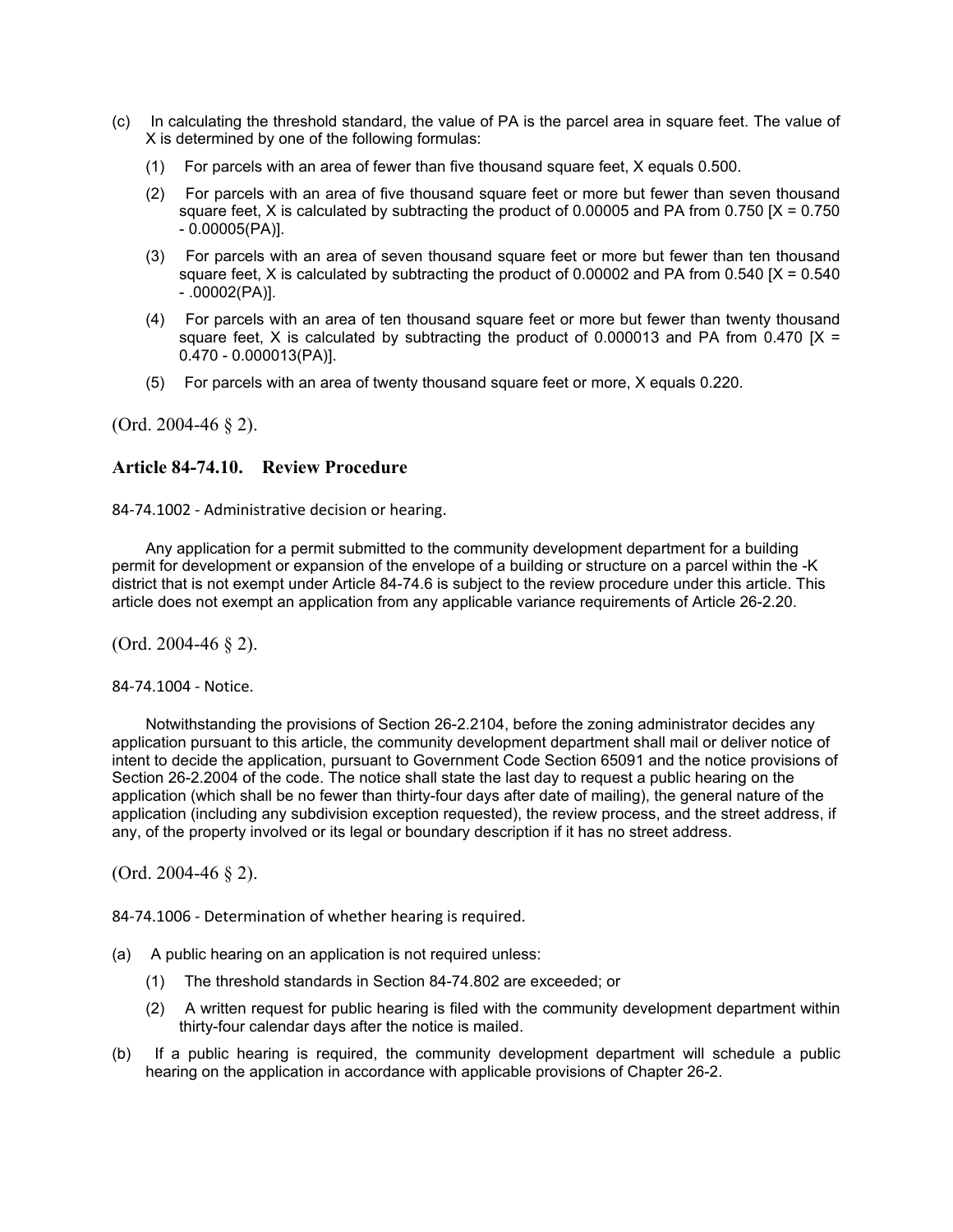- (c) In calculating the threshold standard, the value of PA is the parcel area in square feet. The value of X is determined by one of the following formulas:
	- (1) For parcels with an area of fewer than five thousand square feet, X equals 0.500.
	- (2) For parcels with an area of five thousand square feet or more but fewer than seven thousand square feet, X is calculated by subtracting the product of 0.00005 and PA from 0.750  $[X = 0.750]$ - 0.00005(PA)].
	- (3) For parcels with an area of seven thousand square feet or more but fewer than ten thousand square feet, X is calculated by subtracting the product of 0.00002 and PA from 0.540  $[X = 0.540]$ - .00002(PA)].
	- (4) For parcels with an area of ten thousand square feet or more but fewer than twenty thousand square feet. X is calculated by subtracting the product of 0.000013 and PA from 0.470  $IX =$ 0.470 - 0.000013(PA)].
	- (5) For parcels with an area of twenty thousand square feet or more, X equals 0.220.

(Ord. 2004-46 § 2).

### **Article 84-74.10. Review Procedure**

84-74.1002 - Administrative decision or hearing.

Any application for a permit submitted to the community development department for a building permit for development or expansion of the envelope of a building or structure on a parcel within the -K district that is not exempt under Article 84-74.6 is subject to the review procedure under this article. This article does not exempt an application from any applicable variance requirements of Article 26-2.20.

(Ord. 2004-46 § 2).

84-74.1004 - Notice.

Notwithstanding the provisions of Section 26-2.2104, before the zoning administrator decides any application pursuant to this article, the community development department shall mail or deliver notice of intent to decide the application, pursuant to Government Code Section 65091 and the notice provisions of Section 26-2.2004 of the code. The notice shall state the last day to request a public hearing on the application (which shall be no fewer than thirty-four days after date of mailing), the general nature of the application (including any subdivision exception requested), the review process, and the street address, if any, of the property involved or its legal or boundary description if it has no street address.

(Ord. 2004-46 § 2).

84-74.1006 - Determination of whether hearing is required.

- (a) A public hearing on an application is not required unless:
	- (1) The threshold standards in Section 84-74.802 are exceeded; or
	- (2) A written request for public hearing is filed with the community development department within thirty-four calendar days after the notice is mailed.
- (b) If a public hearing is required, the community development department will schedule a public hearing on the application in accordance with applicable provisions of Chapter 26-2.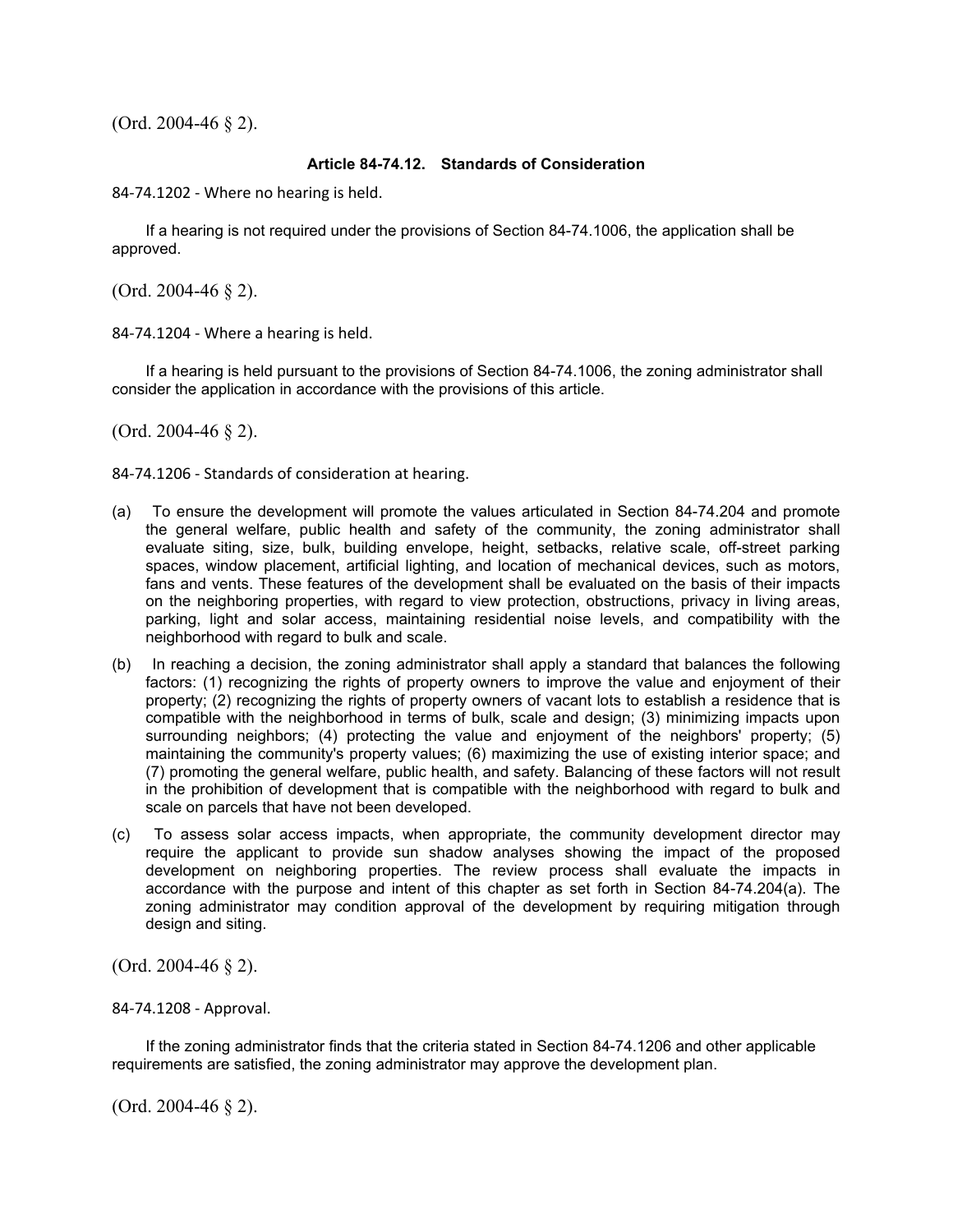(Ord. 2004-46 § 2).

#### **Article 84-74.12. Standards of Consideration**

84-74.1202 - Where no hearing is held.

If a hearing is not required under the provisions of Section 84-74.1006, the application shall be approved.

(Ord. 2004-46 § 2).

84-74.1204 - Where a hearing is held.

If a hearing is held pursuant to the provisions of Section 84-74.1006, the zoning administrator shall consider the application in accordance with the provisions of this article.

(Ord. 2004-46 § 2).

84-74.1206 - Standards of consideration at hearing.

- (a) To ensure the development will promote the values articulated in Section 84-74.204 and promote the general welfare, public health and safety of the community, the zoning administrator shall evaluate siting, size, bulk, building envelope, height, setbacks, relative scale, off-street parking spaces, window placement, artificial lighting, and location of mechanical devices, such as motors, fans and vents. These features of the development shall be evaluated on the basis of their impacts on the neighboring properties, with regard to view protection, obstructions, privacy in living areas, parking, light and solar access, maintaining residential noise levels, and compatibility with the neighborhood with regard to bulk and scale.
- (b) In reaching a decision, the zoning administrator shall apply a standard that balances the following factors: (1) recognizing the rights of property owners to improve the value and enjoyment of their property; (2) recognizing the rights of property owners of vacant lots to establish a residence that is compatible with the neighborhood in terms of bulk, scale and design; (3) minimizing impacts upon surrounding neighbors; (4) protecting the value and enjoyment of the neighbors' property; (5) maintaining the community's property values; (6) maximizing the use of existing interior space; and (7) promoting the general welfare, public health, and safety. Balancing of these factors will not result in the prohibition of development that is compatible with the neighborhood with regard to bulk and scale on parcels that have not been developed.
- (c) To assess solar access impacts, when appropriate, the community development director may require the applicant to provide sun shadow analyses showing the impact of the proposed development on neighboring properties. The review process shall evaluate the impacts in accordance with the purpose and intent of this chapter as set forth in Section 84-74.204(a). The zoning administrator may condition approval of the development by requiring mitigation through design and siting.

(Ord. 2004-46 § 2).

84-74.1208 - Approval.

If the zoning administrator finds that the criteria stated in Section 84-74.1206 and other applicable requirements are satisfied, the zoning administrator may approve the development plan.

(Ord. 2004-46 § 2).